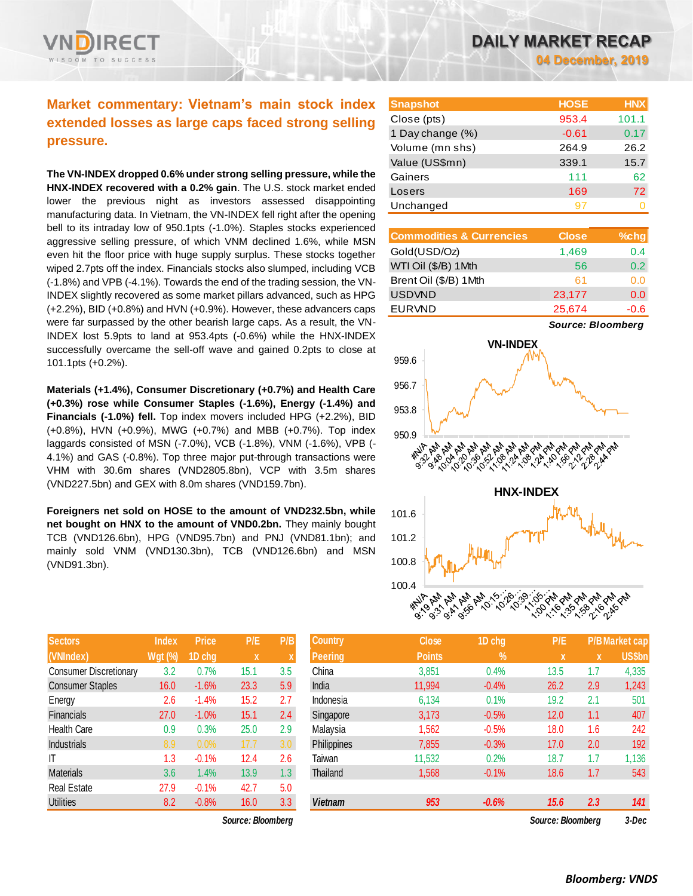## **Market commentary: Vietnam's main stock index extended losses as large caps faced strong selling pressure.**

**The VN-INDEX dropped 0.6% under strong selling pressure, while the HNX-INDEX recovered with a 0.2% gain**. The U.S. stock market ended lower the previous night as investors assessed disappointing manufacturing data. In Vietnam, the VN-INDEX fell right after the opening bell to its intraday low of 950.1pts (-1.0%). Staples stocks experienced aggressive selling pressure, of which VNM declined 1.6%, while MSN even hit the floor price with huge supply surplus. These stocks together wiped 2.7pts off the index. Financials stocks also slumped, including VCB (-1.8%) and VPB (-4.1%). Towards the end of the trading session, the VN-INDEX slightly recovered as some market pillars advanced, such as HPG (+2.2%), BID (+0.8%) and HVN (+0.9%). However, these advancers caps were far surpassed by the other bearish large caps. As a result, the VN-INDEX lost 5.9pts to land at 953.4pts (-0.6%) while the HNX-INDEX successfully overcame the sell-off wave and gained 0.2pts to close at 101.1pts (+0.2%).

**Materials (+1.4%), Consumer Discretionary (+0.7%) and Health Care (+0.3%) rose while Consumer Staples (-1.6%), Energy (-1.4%) and Financials (-1.0%) fell.** Top index movers included HPG (+2.2%), BID (+0.8%), HVN (+0.9%), MWG (+0.7%) and MBB (+0.7%). Top index laggards consisted of MSN (-7.0%), VCB (-1.8%), VNM (-1.6%), VPB (- 4.1%) and GAS (-0.8%). Top three major put-through transactions were VHM with 30.6m shares (VND2805.8bn), VCP with 3.5m shares (VND227.5bn) and GEX with 8.0m shares (VND159.7bn).

**Foreigners net sold on HOSE to the amount of VND232.5bn, while net bought on HNX to the amount of VND0.2bn.** They mainly bought TCB (VND126.6bn), HPG (VND95.7bn) and PNJ (VND81.1bn); and mainly sold VNM (VND130.3bn), TCB (VND126.6bn) and MSN (VND91.3bn).

| <b>Sectors</b>                | <b>Index</b>   | <b>Price</b> | P/E  | P/B |
|-------------------------------|----------------|--------------|------|-----|
| (VNIndex)                     | <b>Wgt</b> (%) | 1D chg       | x    | X   |
| <b>Consumer Discretionary</b> | 3.2            | 0.7%         | 15.1 | 3.5 |
| <b>Consumer Staples</b>       | 16.0           | $-1.6%$      | 23.3 | 5.9 |
| Energy                        | 2.6            | $-1.4%$      | 15.2 | 2.7 |
| <b>Financials</b>             | 27.0           | $-1.0%$      | 15.1 | 2.4 |
| Health Care                   | 0.9            | 0.3%         | 25.0 | 2.9 |
| <b>Industrials</b>            | 8.9            | 0.0%         | 17.7 | 3.0 |
| IT                            | 1.3            | $-0.1%$      | 12.4 | 2.6 |
| <b>Materials</b>              | 3.6            | 1.4%         | 13.9 | 1.3 |
| <b>Real Estate</b>            | 27.9           | $-0.1%$      | 42.7 | 5.0 |
| <b>Utilities</b>              | 8.2            | $-0.8%$      | 16.0 | 3.3 |

 $Source: Bloomberg$ 

| <b>Snapshot</b>  | <b>HOSE</b> | <b>HNX</b> |
|------------------|-------------|------------|
| Close (pts)      | 953.4       | 101.1      |
| 1 Day change (%) | $-0.61$     | 0.17       |
| Volume (mn shs)  | 264.9       | 26.2       |
| Value (US\$mn)   | 339.1       | 15.7       |
| Gainers          | 111         | 62         |
| Losers           | 169         | 72         |
| Unchanged        |             |            |

| <b>Commodities &amp; Currencies</b> | <b>Close</b> | $%$ chg |
|-------------------------------------|--------------|---------|
| Gold(USD/Oz)                        | 1,469        | 0.4     |
| WTI Oil (\$/B) 1Mth                 | 56           | 0.2     |
| Brent Oil (\$/B) 1Mth               | 61           | 0.0     |
| <b>USDVND</b>                       | 23,177       | 0.0     |
| <b>EURVND</b>                       | 25,674       | $-0.6$  |

*Source: Bloomberg*



| Sectors                       | Index          | <b>Price</b> | P/E.              | P/B | 'Country,      | Close         | 1D chg        | P/E               |          | P/B Market cap |
|-------------------------------|----------------|--------------|-------------------|-----|----------------|---------------|---------------|-------------------|----------|----------------|
| (VNIndex)                     | <b>Wgt (%)</b> | 1D chg       | $\mathbf{x}$      |     | <b>Peering</b> | <b>Points</b> | $\frac{9}{6}$ | X                 | <b>x</b> | US\$bn         |
| <b>Consumer Discretionary</b> | 3.2            | 0.7%         | 15.1              | 3.5 | China          | 3,851         | 0.4%          | 13.5              | 1.7      | 4,335          |
| <b>Consumer Staples</b>       | 16.0           | $-1.6%$      | 23.3              | 5.9 | India          | 11,994        | $-0.4%$       | 26.2              | 2.9      | 1,243          |
| Energy                        | 2.6            | $-1.4%$      | 15.2              | 2.7 | Indonesia      | 6,134         | 0.1%          | 19.2              | 2.1      | 501            |
| Financials                    | 27.0           | $-1.0%$      | 15.1              | 2.4 | Singapore      | 3,173         | $-0.5%$       | 12.0              | 1.1      | 407            |
| <b>Health Care</b>            | 0.9            | 0.3%         | 25.0              | 2.9 | Malaysia       | 1,562         | $-0.5%$       | 18.0              | 1.6      | 242            |
| <b>Industrials</b>            | 8.9            | 0.0%         | 17.7              | 3.0 | Philippines    | 7,855         | $-0.3%$       | 17.0              | 2.0      | 192            |
| ΙT                            | 1.3            | $-0.1%$      | 12.4              | 2.6 | Taiwan         | 11,532        | 0.2%          | 18.7              | 1.7      | 1,136          |
| Materials                     | 3.6            | 1.4%         | 13.9              | 1.3 | Thailand       | 1,568         | $-0.1%$       | 18.6              | 1.7      | 543            |
| Real Estate                   | 27.9           | $-0.1%$      | 42.7              | 5.0 |                |               |               |                   |          |                |
| <b>Utilities</b>              | 8.2            | $-0.8%$      | 16.0              | 3.3 | <b>Vietnam</b> | 953           | $-0.6%$       | 15.6              | 2.3      | 141            |
|                               |                |              | Source: Bloomberg |     |                |               |               | Source: Bloomberg |          | 3-Dec          |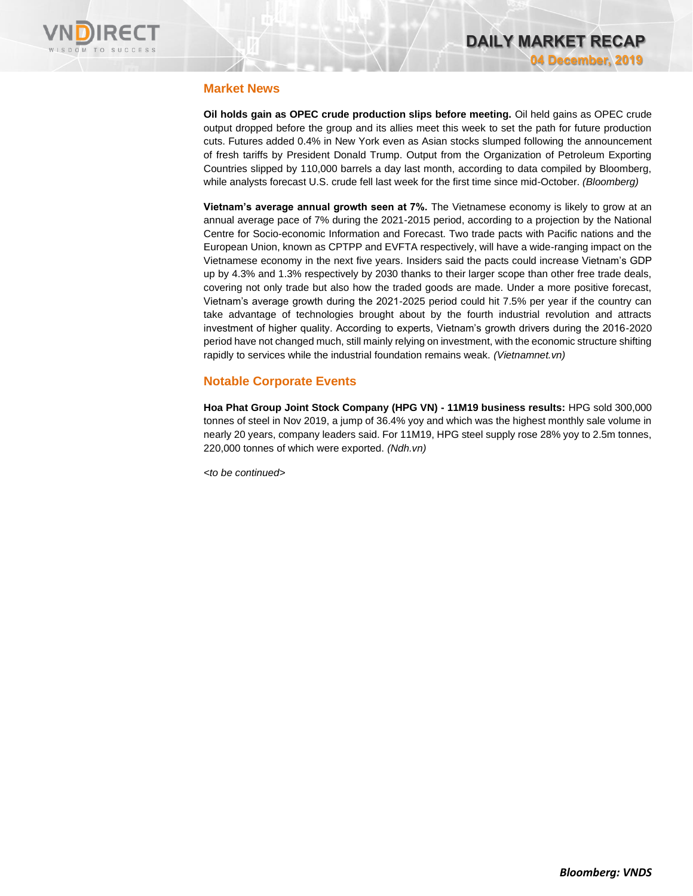

### **Market News**

**Oil holds gain as OPEC crude production slips before meeting.** Oil held gains as OPEC crude output dropped before the group and its allies meet this week to set the path for future production cuts. Futures added 0.4% in New York even as Asian stocks slumped following the announcement of fresh tariffs by President Donald Trump. Output from the Organization of Petroleum Exporting Countries slipped by 110,000 barrels a day last month, according to data compiled by Bloomberg, while analysts forecast U.S. crude fell last week for the first time since mid-October. *(Bloomberg)*

**Vietnam's average annual growth seen at 7%.** The Vietnamese economy is likely to grow at an annual average pace of 7% during the 2021-2015 period, according to a projection by the National Centre for Socio-economic Information and Forecast. Two trade pacts with Pacific nations and the European Union, known as CPTPP and EVFTA respectively, will have a wide-ranging impact on the Vietnamese economy in the next five years. Insiders said the pacts could increase Vietnam's GDP up by 4.3% and 1.3% respectively by 2030 thanks to their larger scope than other free trade deals, covering not only trade but also how the traded goods are made. Under a more positive forecast, Vietnam's average growth during the 2021-2025 period could hit 7.5% per year if the country can take advantage of technologies brought about by the fourth industrial revolution and attracts investment of higher quality. According to experts, Vietnam's growth drivers during the 2016-2020 period have not changed much, still mainly relying on investment, with the economic structure shifting rapidly to services while the industrial foundation remains weak. *(Vietnamnet.vn)*

## **Notable Corporate Events**

**Hoa Phat Group Joint Stock Company (HPG VN) - 11M19 business results:** HPG sold 300,000 tonnes of steel in Nov 2019, a jump of 36.4% yoy and which was the highest monthly sale volume in nearly 20 years, company leaders said. For 11M19, HPG steel supply rose 28% yoy to 2.5m tonnes, 220,000 tonnes of which were exported. *(Ndh.vn)*

*<to be continued>*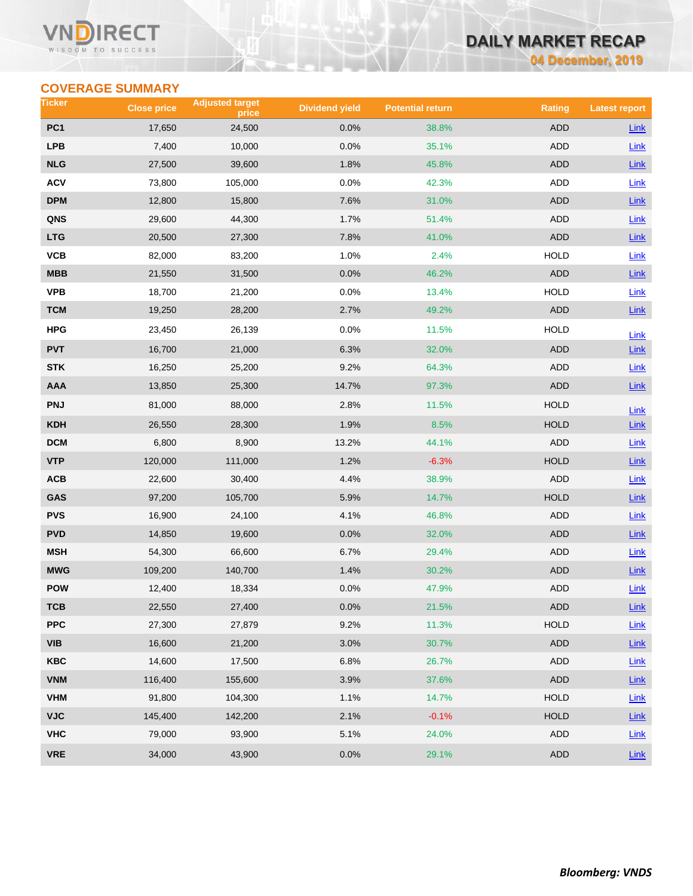#### **VN** RECT WISDOM TO SUCCESS

## **DAILY MARKET RECAP**

**04 December, 2019**

## **COVERAGE SUMMARY**

| Ticker          | <b>Close price</b> | <b>Adjusted target</b><br>price | <b>Dividend yield</b> | <b>Potential return</b> | <b>Rating</b> | <b>Latest report</b> |
|-----------------|--------------------|---------------------------------|-----------------------|-------------------------|---------------|----------------------|
| PC <sub>1</sub> | 17,650             | 24,500                          | 0.0%                  | 38.8%                   | <b>ADD</b>    | <b>Link</b>          |
| <b>LPB</b>      | 7,400              | 10,000                          | 0.0%                  | 35.1%                   | ADD           | Link                 |
| <b>NLG</b>      | 27,500             | 39,600                          | 1.8%                  | 45.8%                   | <b>ADD</b>    | Link                 |
| <b>ACV</b>      | 73,800             | 105,000                         | 0.0%                  | 42.3%                   | ADD           | Link                 |
| DPM             | 12,800             | 15,800                          | 7.6%                  | 31.0%                   | ADD           | Link                 |
| QNS             | 29,600             | 44,300                          | 1.7%                  | 51.4%                   | ADD           | <b>Link</b>          |
| <b>LTG</b>      | 20,500             | 27,300                          | 7.8%                  | 41.0%                   | <b>ADD</b>    | $Link$               |
| VCB             | 82,000             | 83,200                          | 1.0%                  | 2.4%                    | <b>HOLD</b>   | Link                 |
| MBB             | 21,550             | 31,500                          | 0.0%                  | 46.2%                   | ADD           | Link                 |
| <b>VPB</b>      | 18,700             | 21,200                          | 0.0%                  | 13.4%                   | <b>HOLD</b>   | Link                 |
| <b>TCM</b>      | 19,250             | 28,200                          | 2.7%                  | 49.2%                   | ADD           | Link                 |
| <b>HPG</b>      | 23,450             | 26,139                          | 0.0%                  | 11.5%                   | <b>HOLD</b>   | Link                 |
| <b>PVT</b>      | 16,700             | 21,000                          | 6.3%                  | 32.0%                   | <b>ADD</b>    | <b>Link</b>          |
| <b>STK</b>      | 16,250             | 25,200                          | 9.2%                  | 64.3%                   | ADD           | Link                 |
| AAA             | 13,850             | 25,300                          | 14.7%                 | 97.3%                   | <b>ADD</b>    | Link                 |
| <b>PNJ</b>      | 81,000             | 88,000                          | 2.8%                  | 11.5%                   | <b>HOLD</b>   | Link                 |
| <b>KDH</b>      | 26,550             | 28,300                          | 1.9%                  | 8.5%                    | <b>HOLD</b>   | Link                 |
| <b>DCM</b>      | 6,800              | 8,900                           | 13.2%                 | 44.1%                   | ADD           | Link                 |
| <b>VTP</b>      | 120,000            | 111,000                         | 1.2%                  | $-6.3%$                 | <b>HOLD</b>   | $Link$               |
| ACB             | 22,600             | 30,400                          | 4.4%                  | 38.9%                   | ADD           | Link                 |
| GAS             | 97,200             | 105,700                         | 5.9%                  | 14.7%                   | <b>HOLD</b>   | Link                 |
| <b>PVS</b>      | 16,900             | 24,100                          | 4.1%                  | 46.8%                   | ADD           | Link                 |
| <b>PVD</b>      | 14,850             | 19,600                          | 0.0%                  | 32.0%                   | ADD           | Link                 |
| <b>MSH</b>      | 54,300             | 66,600                          | 6.7%                  | 29.4%                   | ADD           | Link                 |
| <b>MWG</b>      | 109,200            | 140,700                         | 1.4%                  | 30.2%                   | ADD           | Link                 |
| <b>POW</b>      | 12,400             | 18,334                          | 0.0%                  | 47.9%                   | <b>ADD</b>    | Link                 |
| ТСВ             | 22,550             | 27,400                          | 0.0%                  | 21.5%                   | <b>ADD</b>    | <b>Link</b>          |
| <b>PPC</b>      | 27,300             | 27,879                          | 9.2%                  | 11.3%                   | <b>HOLD</b>   | Link                 |
| VIB             | 16,600             | 21,200                          | 3.0%                  | 30.7%                   | ADD           | $Link$               |
| <b>KBC</b>      | 14,600             | 17,500                          | 6.8%                  | 26.7%                   | ADD           | Link                 |
| <b>VNM</b>      | 116,400            | 155,600                         | 3.9%                  | 37.6%                   | ADD           | Link                 |
| <b>VHM</b>      | 91,800             | 104,300                         | 1.1%                  | 14.7%                   | <b>HOLD</b>   | Link                 |
| <b>VJC</b>      | 145,400            | 142,200                         | 2.1%                  | $-0.1%$                 | <b>HOLD</b>   | <b>Link</b>          |
| <b>VHC</b>      | 79,000             | 93,900                          | 5.1%                  | 24.0%                   | ADD           | Link                 |
| <b>VRE</b>      | 34,000             | 43,900                          | 0.0%                  | 29.1%                   | <b>ADD</b>    | $Link$               |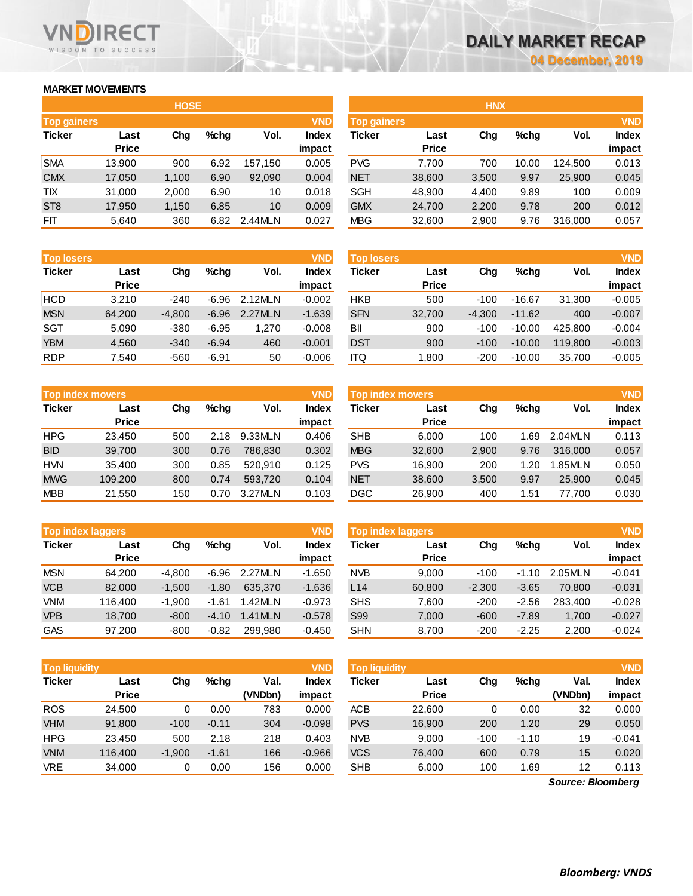## **MARKET MOVEMENTS**

WISDOM TO SUCCESS

**RECT** 

| <b>HOSE</b>        |              |       |         |         |              |  |  |  |  |
|--------------------|--------------|-------|---------|---------|--------------|--|--|--|--|
| <b>Top gainers</b> |              |       |         |         | <b>VND</b>   |  |  |  |  |
| <b>Ticker</b>      | Last         | Cha   | $%$ chq | Vol.    | <b>Index</b> |  |  |  |  |
|                    | <b>Price</b> |       |         |         | impact       |  |  |  |  |
| <b>SMA</b>         | 13,900       | 900   | 6.92    | 157,150 | 0.005        |  |  |  |  |
| <b>CMX</b>         | 17,050       | 1,100 | 6.90    | 92,090  | 0.004        |  |  |  |  |
| <b>TIX</b>         | 31,000       | 2,000 | 6.90    | 10      | 0.018        |  |  |  |  |
| ST <sub>8</sub>    | 17,950       | 1,150 | 6.85    | 10      | 0.009        |  |  |  |  |
| <b>FIT</b>         | 5.640        | 360   | 6.82    | 2.44MLN | 0.027        |  |  |  |  |

| <b>Top losers</b> |              |          |         |         | <b>VND</b>   |
|-------------------|--------------|----------|---------|---------|--------------|
| <b>Ticker</b>     | Last         | Cha      | $%$ chq | Vol.    | <b>Index</b> |
|                   | <b>Price</b> |          |         |         | impact       |
| <b>HCD</b>        | 3.210        | $-240$   | $-6.96$ | 2.12MLN | $-0.002$     |
| <b>MSN</b>        | 64,200       | $-4,800$ | $-6.96$ | 2.27MLN | $-1.639$     |
| SGT               | 5.090        | $-380$   | $-6.95$ | 1.270   | $-0.008$     |
| <b>YBM</b>        | 4,560        | $-340$   | $-6.94$ | 460     | $-0.001$     |
| <b>RDP</b>        | 7,540        | -560     | $-6.91$ | 50      | $-0.006$     |

|               | <b>Top index movers</b> |     |         |         |              |  |  |  |  |  |
|---------------|-------------------------|-----|---------|---------|--------------|--|--|--|--|--|
| <b>Ticker</b> | Last                    | Cha | $%$ chq | Vol.    | <b>Index</b> |  |  |  |  |  |
|               | <b>Price</b>            |     |         |         | impact       |  |  |  |  |  |
| <b>HPG</b>    | 23,450                  | 500 | 2.18    | 9.33MLN | 0.406        |  |  |  |  |  |
| <b>BID</b>    | 39,700                  | 300 | 0.76    | 786.830 | 0.302        |  |  |  |  |  |
| <b>HVN</b>    | 35,400                  | 300 | 0.85    | 520.910 | 0.125        |  |  |  |  |  |
| <b>MWG</b>    | 109,200                 | 800 | 0.74    | 593,720 | 0.104        |  |  |  |  |  |
| <b>MBB</b>    | 21,550                  | 150 | 0.70    | 3.27MLN | 0.103        |  |  |  |  |  |

|               | <b>VND</b><br><b>Top index laggers</b> |          |         |         |              |  |  |  |  |  |
|---------------|----------------------------------------|----------|---------|---------|--------------|--|--|--|--|--|
| <b>Ticker</b> | Last                                   | Cha      | $%$ chq | Vol.    | <b>Index</b> |  |  |  |  |  |
|               | <b>Price</b>                           |          |         |         | impact       |  |  |  |  |  |
| <b>MSN</b>    | 64.200                                 | $-4,800$ | $-6.96$ | 2.27MLN | $-1.650$     |  |  |  |  |  |
| <b>VCB</b>    | 82.000                                 | $-1,500$ | $-1.80$ | 635.370 | $-1.636$     |  |  |  |  |  |
| <b>VNM</b>    | 116,400                                | $-1,900$ | $-1.61$ | 1.42MLN | $-0.973$     |  |  |  |  |  |
| <b>VPB</b>    | 18.700                                 | $-800$   | $-4.10$ | 1.41MLN | $-0.578$     |  |  |  |  |  |
| <b>GAS</b>    | 97.200                                 | $-800$   | $-0.82$ | 299.980 | $-0.450$     |  |  |  |  |  |

|               | <b>VND</b><br><b>Top liquidity</b> |          |         |         |              |  |  |  |  |  |  |
|---------------|------------------------------------|----------|---------|---------|--------------|--|--|--|--|--|--|
| <b>Ticker</b> | Last                               | Cha      | $%$ chq | Val.    | <b>Index</b> |  |  |  |  |  |  |
|               | <b>Price</b>                       |          |         | (VNDbn) | impact       |  |  |  |  |  |  |
| <b>ROS</b>    | 24,500                             | 0        | 0.00    | 783     | 0.000        |  |  |  |  |  |  |
| <b>VHM</b>    | 91,800                             | $-100$   | $-0.11$ | 304     | $-0.098$     |  |  |  |  |  |  |
| <b>HPG</b>    | 23,450                             | 500      | 2.18    | 218     | 0.403        |  |  |  |  |  |  |
| <b>VNM</b>    | 116,400                            | $-1,900$ | $-1.61$ | 166     | $-0.966$     |  |  |  |  |  |  |
| VRE           | 34,000                             | 0        | 0.00    | 156     | 0.000        |  |  |  |  |  |  |

|                    |              | <b>HOSE</b> |         |         |              |                    |              | <b>HNX</b> |         |         |              |
|--------------------|--------------|-------------|---------|---------|--------------|--------------------|--------------|------------|---------|---------|--------------|
| <b>Top gainers</b> |              |             |         |         | <b>VND</b>   | <b>Top gainers</b> |              |            |         |         | <b>VND</b>   |
| Ticker             | Last         | Chg         | $%$ chq | Vol.    | <b>Index</b> | Ticker             | Last         | Chg        | $%$ chq | Vol.    | <b>Index</b> |
|                    | <b>Price</b> |             |         |         | impact       |                    | <b>Price</b> |            |         |         | impact       |
| SMA                | 13.900       | 900         | 6.92    | 157.150 | 0.005        | <b>PVG</b>         | 7.700        | 700        | 10.00   | 124.500 | 0.013        |
| <b>CMX</b>         | 17,050       | 1,100       | 6.90    | 92,090  | 0.004        | <b>NET</b>         | 38,600       | 3,500      | 9.97    | 25,900  | 0.045        |
| TIX                | 31,000       | 2,000       | 6.90    | 10      | 0.018        | <b>SGH</b>         | 48,900       | 4,400      | 9.89    | 100     | 0.009        |
| ST <sub>8</sub>    | 17,950       | 1,150       | 6.85    | 10      | 0.009        | <b>GMX</b>         | 24,700       | 2,200      | 9.78    | 200     | 0.012        |
| FIT                | 5,640        | 360         | 6.82    | 2.44MLN | 0.027        | <b>MBG</b>         | 32,600       | 2,900      | 9.76    | 316,000 | 0.057        |
|                    |              |             |         |         |              |                    |              |            |         |         |              |

| <b>Top losers</b> |              |          |         |         | <b>VND</b> | <b>Top losers</b> |              |          |          |         | <b>VND</b>   |
|-------------------|--------------|----------|---------|---------|------------|-------------------|--------------|----------|----------|---------|--------------|
| <b>Ticker</b>     | Last         | Chg      | $%$ chq | Vol.    | Index      | Ticker            | Last         | Chg      | $%$ chq  | Vol.    | <b>Index</b> |
|                   | <b>Price</b> |          |         |         | impact     |                   | <b>Price</b> |          |          |         | impact       |
| HCD               | 3.210        | $-240$   | $-6.96$ | 2.12MLN | $-0.002$   | <b>HKB</b>        | 500          | $-100$   | $-16.67$ | 31,300  | $-0.005$     |
| <b>MSN</b>        | 64,200       | $-4.800$ | $-6.96$ | 2.27MLN | $-1.639$   | <b>SFN</b>        | 32,700       | $-4.300$ | $-11.62$ | 400     | $-0.007$     |
| SGT               | 5,090        | $-380$   | $-6.95$ | 1,270   | $-0.008$   | BII               | 900          | $-100$   | $-10.00$ | 425,800 | $-0.004$     |
| <b>YBM</b>        | 4,560        | $-340$   | $-6.94$ | 460     | $-0.001$   | <b>DST</b>        | 900          | $-100$   | $-10.00$ | 119,800 | $-0.003$     |
| <b>RDP</b>        | 7,540        | $-560$   | $-6.91$ | 50      | $-0.006$   | <b>ITQ</b>        | 1,800        | $-200$   | $-10.00$ | 35,700  | $-0.005$     |
|                   |              |          |         |         |            |                   |              |          |          |         |              |

|            | <b>VND</b><br>Top index movers |     |         |         |                        |            | Top index movers     |       |         |         |                        |  |
|------------|--------------------------------|-----|---------|---------|------------------------|------------|----------------------|-------|---------|---------|------------------------|--|
| Ticker     | Last<br><b>Price</b>           | Chg | $%$ chq | Vol.    | <b>Index</b><br>impact | Ticker     | Last<br><b>Price</b> | Chg   | $%$ chq | Vol.    | <b>Index</b><br>impact |  |
| HPG        | 23.450                         | 500 | 2.18    | 9.33MLN | 0.406                  | <b>SHB</b> | 6.000                | 100   | .69     | 2.04MLN | 0.113                  |  |
| <b>BID</b> | 39,700                         | 300 | 0.76    | 786.830 | 0.302                  | <b>MBG</b> | 32,600               | 2,900 | 9.76    | 316,000 | 0.057                  |  |
| <b>HVN</b> | 35.400                         | 300 | 0.85    | 520.910 | 0.125                  | <b>PVS</b> | 16.900               | 200   | 1.20    | .85MLN  | 0.050                  |  |
| <b>MWG</b> | 109,200                        | 800 | 0.74    | 593.720 | 0.104                  | <b>NET</b> | 38,600               | 3,500 | 9.97    | 25,900  | 0.045                  |  |
| <b>MBB</b> | 21,550                         | 150 | 0.70    | 3.27MLN | 0.103                  | DGC        | 26,900               | 400   | . 51. ، | 77.700  | 0.030                  |  |

| <b>Top index laggers</b> |              |          |         |         | VND      | Top index laggers |              |          |         |         |              |  |
|--------------------------|--------------|----------|---------|---------|----------|-------------------|--------------|----------|---------|---------|--------------|--|
| Ticker                   | Last         | Chg      | $%$ chq | Vol.    | Index    | <b>Ticker</b>     | Last         | Chg      | $%$ chq | Vol.    | <b>Index</b> |  |
|                          | <b>Price</b> |          |         |         | impact   |                   | <b>Price</b> |          |         |         | impact       |  |
| MSN                      | 64.200       | $-4.800$ | $-6.96$ | 2.27MLN | $-1.650$ | <b>NVB</b>        | 9.000        | $-100$   | $-1.10$ | 2.05MLN | $-0.041$     |  |
| <b>VCB</b>               | 82,000       | $-1.500$ | $-1.80$ | 635,370 | $-1.636$ | L14               | 60,800       | $-2.300$ | $-3.65$ | 70.800  | $-0.031$     |  |
| <b>VNM</b>               | 116,400      | $-1.900$ | $-1.61$ | 1.42MLN | $-0.973$ | <b>SHS</b>        | 7.600        | $-200$   | $-2.56$ | 283.400 | $-0.028$     |  |
| <b>VPB</b>               | 18.700       | $-800$   | $-4.10$ | 1.41MLN | $-0.578$ | S99               | 7.000        | $-600$   | $-7.89$ | 1.700   | $-0.027$     |  |
| GAS                      | 97,200       | $-800$   | $-0.82$ | 299,980 | $-0.450$ | <b>SHN</b>        | 8,700        | $-200$   | $-2.25$ | 2,200   | $-0.024$     |  |

| <b>Top liquidity</b> |              |          |         |         | <b>VND</b>   | Top liquidity |              |        |         |                   | <b>VND</b>   |
|----------------------|--------------|----------|---------|---------|--------------|---------------|--------------|--------|---------|-------------------|--------------|
| <b>Ticker</b>        | Last         | Chg      | $%$ chg | Val.    | <b>Index</b> | Ticker        | Last         | Chg    | $%$ chq | Val.              | <b>Index</b> |
|                      | <b>Price</b> |          |         | (VNDbn) | impact       |               | <b>Price</b> |        |         | (VNDbn)           | impact       |
| ROS                  | 24,500       | 0        | 0.00    | 783     | 0.000        | <b>ACB</b>    | 22,600       | 0      | 0.00    | 32                | 0.000        |
| <b>VHM</b>           | 91,800       | $-100$   | $-0.11$ | 304     | $-0.098$     | <b>PVS</b>    | 16,900       | 200    | 1.20    | 29                | 0.050        |
| HPG                  | 23,450       | 500      | 2.18    | 218     | 0.403        | <b>NVB</b>    | 9,000        | $-100$ | $-1.10$ | 19                | $-0.041$     |
| <b>VNM</b>           | 116,400      | $-1,900$ | $-1.61$ | 166     | $-0.966$     | <b>VCS</b>    | 76,400       | 600    | 0.79    | 15                | 0.020        |
| <b>VRE</b>           | 34,000       | 0        | 0.00    | 156     | 0.000        | <b>SHB</b>    | 6,000        | 100    | 1.69    | 12                | 0.113        |
|                      |              |          |         |         |              |               |              |        |         | Source: Bloomberg |              |

*Source: Bloomberg*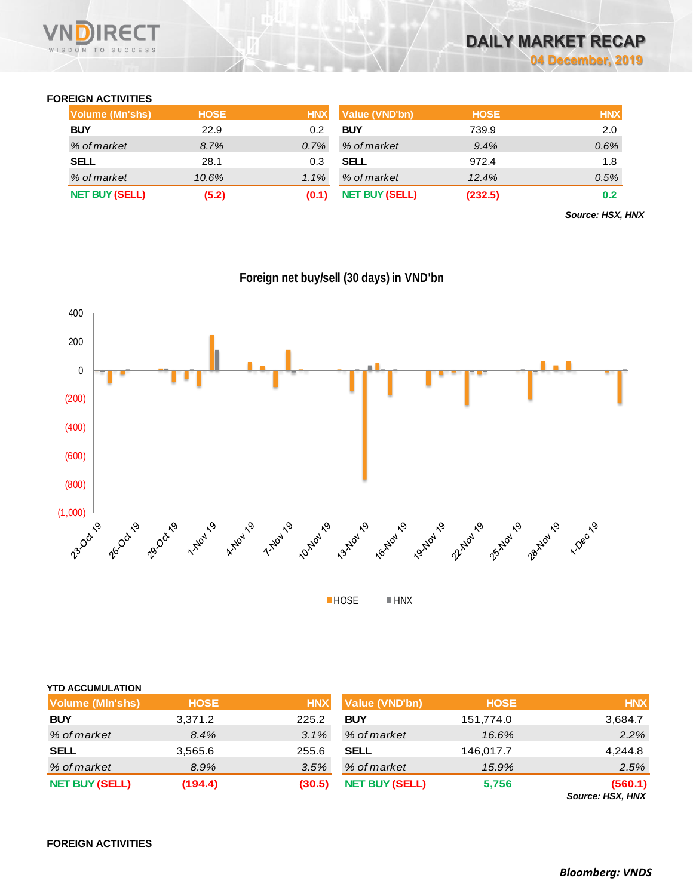

#### **FOREIGN ACTIVITIES**

| <b>Volume (Mn'shs)</b> | <b>HOSE</b> | <b>HNX</b> | Value (VND'bn)        | <b>HOSE</b> | <b>HNX</b> |
|------------------------|-------------|------------|-----------------------|-------------|------------|
| <b>BUY</b>             | 22.9        | 0.2        | <b>BUY</b>            | 739.9       | 2.0        |
| % of market            | 8.7%        | $0.7\%$    | % of market           | 9.4%        | 0.6%       |
| <b>SELL</b>            | 28.1        | 0.3        | <b>SELL</b>           | 972.4       | 1.8        |
| % of market            | 10.6%       | $1.1\%$    | % of market           | 12.4%       | 0.5%       |
| <b>NET BUY (SELL)</b>  | (5.2)       | (0.1)      | <b>NET BUY (SELL)</b> | (232.5)     | 0.2        |

*Source: HSX, HNX*



**HOSE HNX** 

| <b>YTD ACCUMULATION</b> |             |            |                       |             |                             |
|-------------------------|-------------|------------|-----------------------|-------------|-----------------------------|
| <b>Volume (MIn'shs)</b> | <b>HOSE</b> | <b>HNX</b> | <b>Value (VND'bn)</b> | <b>HOSE</b> | <b>HNX</b>                  |
| <b>BUY</b>              | 3,371.2     | 225.2      | <b>BUY</b>            | 151,774.0   | 3,684.7                     |
| % of market             | 8.4%        | 3.1%       | % of market           | 16.6%       | 2.2%                        |
| <b>SELL</b>             | 3,565.6     | 255.6      | <b>SELL</b>           | 146,017.7   | 4,244.8                     |
| % of market             | 8.9%        | 3.5%       | % of market           | 15.9%       | 2.5%                        |
| <b>NET BUY (SELL)</b>   | (194.4)     | (30.5)     | <b>NET BUY (SELL)</b> | 5,756       | (560.1)<br>Source: HSX, HNX |

**FOREIGN ACTIVITIES**

# **Foreign net buy/sell (30 days) in VND'bn**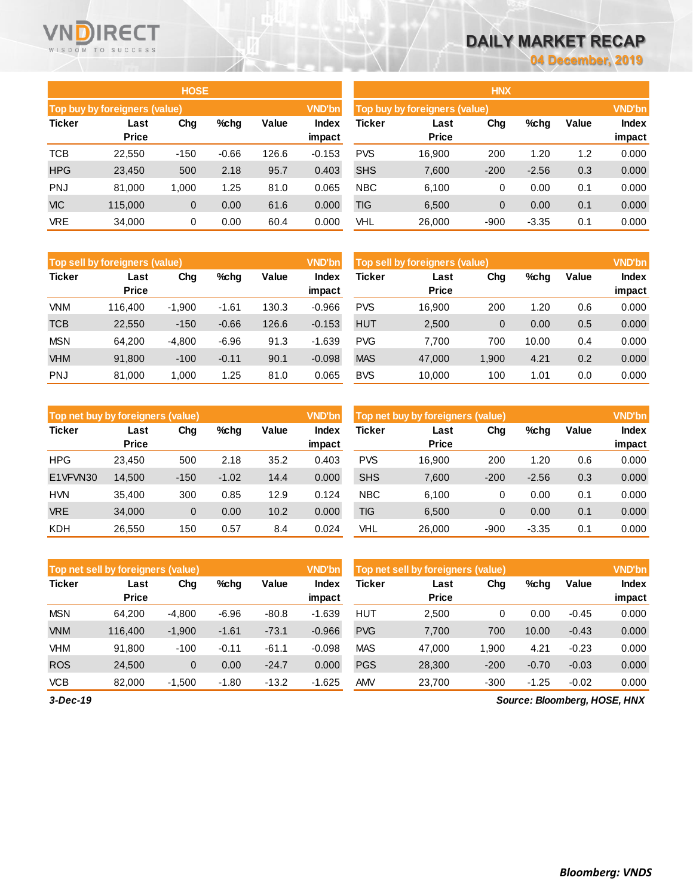## **DAILY MARKET RECAP**

**04 December, 2019**

|               |                               | <b>HOSE</b> |         |       |                        | <b>HNX</b>                    |                      |               |         |       |                 |  |
|---------------|-------------------------------|-------------|---------|-------|------------------------|-------------------------------|----------------------|---------------|---------|-------|-----------------|--|
|               | Top buy by foreigners (value) |             |         |       | <b>VND'bn</b>          | Top buy by foreigners (value) |                      | <b>VND'bn</b> |         |       |                 |  |
| <b>Ticker</b> | Last<br><b>Price</b>          | Chg         | %chg    | Value | <b>Index</b><br>impact | Ticker                        | Last<br><b>Price</b> | Cha           | $%$ chg | Value | Index<br>impact |  |
| <b>TCB</b>    | 22,550                        | $-150$      | $-0.66$ | 126.6 | $-0.153$               | <b>PVS</b>                    | 16,900               | 200           | 1.20    | 1.2   | 0.000           |  |
| <b>HPG</b>    | 23,450                        | 500         | 2.18    | 95.7  | 0.403                  | <b>SHS</b>                    | 7,600                | $-200$        | $-2.56$ | 0.3   | 0.000           |  |
| <b>PNJ</b>    | 81.000                        | 1.000       | 1.25    | 81.0  | 0.065                  | <b>NBC</b>                    | 6,100                | 0             | 0.00    | 0.1   | 0.000           |  |
| <b>VIC</b>    | 115,000                       | $\mathbf 0$ | 0.00    | 61.6  | 0.000                  | TIG                           | 6,500                | $\mathbf{0}$  | 0.00    | 0.1   | 0.000           |  |
| <b>VRE</b>    | 34,000                        | 0           | 0.00    | 60.4  | 0.000                  | VHL                           | 26,000               | $-900$        | $-3.35$ | 0.1   | 0.000           |  |

|               | HNX                           |        |         |       |               |  |  |  |  |  |  |  |  |
|---------------|-------------------------------|--------|---------|-------|---------------|--|--|--|--|--|--|--|--|
|               | Top buy by foreigners (value) |        |         |       | <b>VND'bn</b> |  |  |  |  |  |  |  |  |
| <b>Ticker</b> | Last                          | Chg    | %chq    | Value | <b>Index</b>  |  |  |  |  |  |  |  |  |
|               | <b>Price</b>                  |        |         |       | impact        |  |  |  |  |  |  |  |  |
| <b>PVS</b>    | 16,900                        | 200    | 1.20    | 1.2   | 0.000         |  |  |  |  |  |  |  |  |
| <b>SHS</b>    | 7,600                         | $-200$ | $-2.56$ | 0.3   | 0.000         |  |  |  |  |  |  |  |  |
| <b>NBC</b>    | 6,100                         | 0      | 0.00    | 0.1   | 0.000         |  |  |  |  |  |  |  |  |
| <b>TIG</b>    | 6,500                         | 0      | 0.00    | 0.1   | 0.000         |  |  |  |  |  |  |  |  |
| VHL           | 26,000                        | -900   | -3.35   | 0.1   | 0.000         |  |  |  |  |  |  |  |  |

|               | <b>VND'bn</b><br>Top sell by foreigners (value) |          |         |       |                 |            | Top sell by foreigners (value) |       |       |       |                        |  |
|---------------|-------------------------------------------------|----------|---------|-------|-----------------|------------|--------------------------------|-------|-------|-------|------------------------|--|
| <b>Ticker</b> | Last<br><b>Price</b>                            | Chg      | $%$ chg | Value | Index<br>impact | Ticker     | Last<br><b>Price</b>           | Chg   | %chg  | Value | <b>Index</b><br>impact |  |
| <b>VNM</b>    | 116.400                                         | $-1,900$ | -1.61   | 130.3 | $-0.966$        | <b>PVS</b> | 16.900                         | 200   | 1.20  | 0.6   | 0.000                  |  |
| <b>TCB</b>    | 22,550                                          | $-150$   | $-0.66$ | 126.6 | $-0.153$        | <b>HUT</b> | 2,500                          | 0     | 0.00  | 0.5   | 0.000                  |  |
| <b>MSN</b>    | 64.200                                          | $-4,800$ | $-6.96$ | 91.3  | $-1.639$        | <b>PVG</b> | 7.700                          | 700   | 10.00 | 0.4   | 0.000                  |  |
| <b>VHM</b>    | 91,800                                          | $-100$   | $-0.11$ | 90.1  | $-0.098$        | <b>MAS</b> | 47,000                         | 1,900 | 4.21  | 0.2   | 0.000                  |  |
| <b>PNJ</b>    | 81.000                                          | 1.000    | 1.25    | 81.0  | 0.065           | <b>BVS</b> | 10.000                         | 100   | 1.01  | 0.0   | 0.000                  |  |

|               | Top net buy by foreigners (value) |        |         |       |                        |            | <b>VND'bn</b><br>Top net buy by foreigners (value) |        |         |       |                        |  |
|---------------|-----------------------------------|--------|---------|-------|------------------------|------------|----------------------------------------------------|--------|---------|-------|------------------------|--|
| <b>Ticker</b> | Last<br><b>Price</b>              | Chg    | $%$ chg | Value | <b>Index</b><br>impact | Ticker     | Last<br><b>Price</b>                               | Chg    | %chg    | Value | <b>Index</b><br>impact |  |
| <b>HPG</b>    | 23,450                            | 500    | 2.18    | 35.2  | 0.403                  | <b>PVS</b> | 16.900                                             | 200    | 1.20    | 0.6   | 0.000                  |  |
| E1VFVN30      | 14,500                            | $-150$ | $-1.02$ | 14.4  | 0.000                  | <b>SHS</b> | 7,600                                              | $-200$ | $-2.56$ | 0.3   | 0.000                  |  |
| <b>HVN</b>    | 35.400                            | 300    | 0.85    | 12.9  | 0.124                  | <b>NBC</b> | 6.100                                              | 0      | 0.00    | 0.1   | 0.000                  |  |
| <b>VRE</b>    | 34,000                            | 0      | 0.00    | 10.2  | 0.000                  | <b>TIG</b> | 6,500                                              | 0      | 0.00    | 0.1   | 0.000                  |  |
| KDH           | 26,550                            | 150    | 0.57    | 8.4   | 0.024                  | VHL        | 26,000                                             | $-900$ | $-3.35$ | 0.1   | 0.000                  |  |

|               | Top net sell by foreigners (value) |          |         |         |                 | Top net sell by foreigners (value) |                      | <b>VND'bn</b> |         |         |                 |
|---------------|------------------------------------|----------|---------|---------|-----------------|------------------------------------|----------------------|---------------|---------|---------|-----------------|
| <b>Ticker</b> | Last<br><b>Price</b>               | Chg      | $%$ chg | Value   | Index<br>impact | Ticker                             | Last<br><b>Price</b> | Chg           | %chg    | Value   | Index<br>impact |
| <b>MSN</b>    | 64.200                             | $-4.800$ | $-6.96$ | $-80.8$ | $-1.639$        | HUT                                | 2,500                | 0             | 0.00    | $-0.45$ | 0.000           |
| <b>VNM</b>    | 116.400                            | $-1,900$ | $-1.61$ | $-73.1$ | $-0.966$        | <b>PVG</b>                         | 7,700                | 700           | 10.00   | $-0.43$ | 0.000           |
| VHM           | 91,800                             | $-100$   | $-0.11$ | $-61.1$ | $-0.098$        | <b>MAS</b>                         | 47,000               | 1.900         | 4.21    | $-0.23$ | 0.000           |
| <b>ROS</b>    | 24,500                             | 0        | 0.00    | $-24.7$ | 0.000           | <b>PGS</b>                         | 28,300               | $-200$        | $-0.70$ | $-0.03$ | 0.000           |
| <b>VCB</b>    | 82,000                             | $-1,500$ | $-1.80$ | $-13.2$ | $-1.625$        | <b>AMV</b>                         | 23,700               | $-300$        | $-1.25$ | $-0.02$ | 0.000           |
|               |                                    |          |         |         |                 |                                    |                      |               |         |         |                 |

*3-Dec-19*

Vľ

D

WISDOM TO SUCCESS

**RECT** 

*Source: Bloomberg, HOSE, HNX*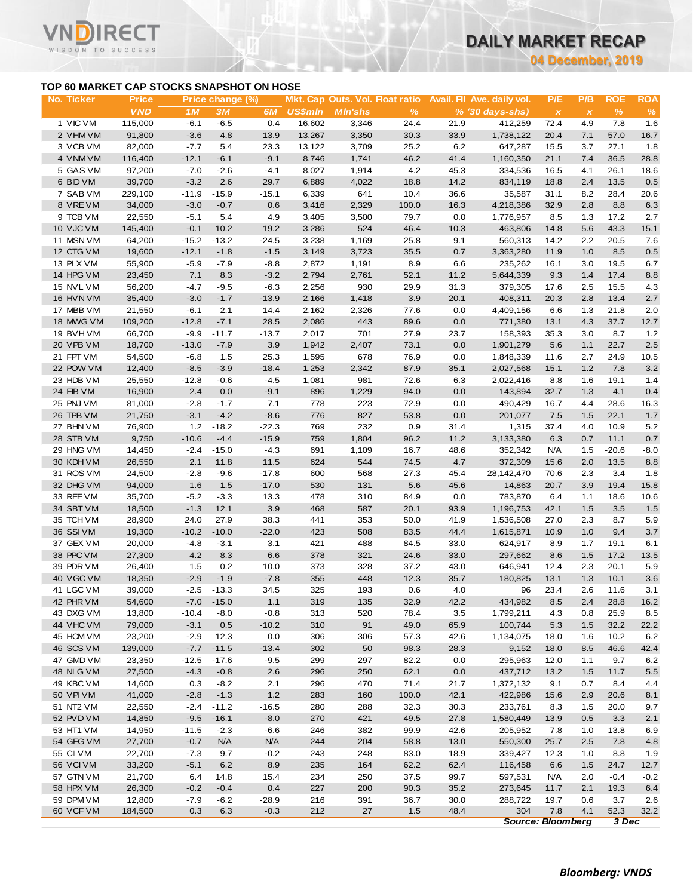**04 December, 2019**

### **TOP 60 MARKET CAP STOCKS SNAPSHOT ON HOSE**

Τ.

|                                           |                   |                   |                  |               |                  |                                        |              |              |                             | <b>04 December, 2019</b> |              |             |                |
|-------------------------------------------|-------------------|-------------------|------------------|---------------|------------------|----------------------------------------|--------------|--------------|-----------------------------|--------------------------|--------------|-------------|----------------|
| TOP 60 MARKET CAP STOCKS SNAPSHOT ON HOSE |                   |                   |                  |               |                  |                                        |              |              |                             |                          |              |             |                |
| No. Ticker                                | <b>Price</b>      |                   | Price change (%) |               |                  | <b>Mkt. Cap Outs. Vol. Float ratio</b> |              |              | Avail. Fil Ave. daily vol.  | P/E                      | P/B          | <b>ROE</b>  | <b>ROA</b>     |
| 1 VIC VM                                  | <b>VND</b>        | 1M                | 3M               | 6M            | <b>US\$mln</b>   | <b>MIn'shs</b>                         | %            |              | $% (30 \, \text{days-shs})$ | $\pmb{\times}$           | $\pmb{\chi}$ | $\%$        | $\%$           |
| 2 VHM VM                                  | 115,000<br>91,800 | $-6.1$<br>$-3.6$  | $-6.5$<br>4.8    | 0.4<br>13.9   | 16,602<br>13,267 | 3,346<br>3,350                         | 24.4<br>30.3 | 21.9<br>33.9 | 412,259<br>1,738,122        | 72.4<br>20.4             | 4.9<br>7.1   | 7.8<br>57.0 | 1.6<br>16.7    |
| 3 VCB VM                                  | 82,000            | $-7.7$            | 5.4              | 23.3          | 13,122           | 3,709                                  | 25.2         | 6.2          | 647,287                     | 15.5                     | 3.7          | 27.1        | 1.8            |
| 4 VNM VM                                  | 116,400           | $-12.1$           | $-6.1$           | $-9.1$        | 8,746            | 1,741                                  | 46.2         | 41.4         | 1,160,350                   | 21.1                     | 7.4          | 36.5        | 28.8           |
| 5 GAS VM                                  | 97,200            | $-7.0$            | $-2.6$           | $-4.1$        | 8,027            | 1,914                                  | 4.2          | 45.3         | 334,536                     | 16.5                     | 4.1          | 26.1        | 18.6           |
| 6 BID VM                                  | 39,700            | $-3.2$            | 2.6              | 29.7          | 6,889            | 4,022                                  | 18.8         | 14.2         | 834,119                     | 18.8                     | 2.4          | 13.5        | 0.5            |
| 7 SAB VM                                  | 229,100           | $-11.9$           | $-15.9$          | $-15.1$       | 6,339            | 641                                    | 10.4         | 36.6         | 35,587                      | 31.1                     | 8.2          | 28.4        | 20.6           |
| 8 VREVM                                   | 34,000            | $-3.0$            | $-0.7$           | 0.6           | 3,416            | 2,329                                  | 100.0        | 16.3         | 4,218,386                   | 32.9                     | 2.8          | 8.8         | 6.3            |
| 9 TCB VM                                  | 22,550            | $-5.1$            | 5.4              | 4.9           | 3,405            | 3,500                                  | 79.7         | 0.0          | 1,776,957                   | 8.5                      | 1.3          | 17.2        | 2.7            |
| 10 VJC VM                                 | 145,400           | $-0.1$            | 10.2             | 19.2          | 3,286            | 524                                    | 46.4         | 10.3         | 463,806                     | 14.8                     | 5.6          | 43.3        | 15.1           |
| 11 MSN VM                                 | 64,200            | $-15.2$           | $-13.2$          | $-24.5$       | 3,238            | 1,169                                  | 25.8         | 9.1          | 560,313                     | 14.2                     | 2.2          | 20.5        | 7.6            |
| 12 CTG VM                                 | 19,600            | $-12.1$           | $-1.8$           | $-1.5$        | 3,149            | 3,723                                  | 35.5         | 0.7          | 3,363,280                   | 11.9                     | 1.0          | 8.5         | 0.5            |
| 13 PLX VM                                 | 55,900            | $-5.9$            | $-7.9$           | $-8.8$        | 2,872            | 1,191                                  | 8.9          | 6.6          | 235,262                     | 16.1                     | 3.0          | 19.5        | 6.7            |
| 14 HPG VM                                 | 23,450            | 7.1               | 8.3              | $-3.2$        | 2,794            | 2,761                                  | 52.1         | 11.2         | 5,644,339                   | 9.3                      | 1.4          | 17.4        | 8.8            |
| 15 NVL VM                                 | 56,200            | $-4.7$            | -9.5             | $-6.3$        | 2,256            | 930                                    | 29.9         | 31.3         | 379,305                     | 17.6                     | 2.5          | 15.5        | 4.3            |
| 16 HVN VM                                 | 35,400            | $-3.0$            | $-1.7$           | $-13.9$       | 2,166            | 1,418                                  | 3.9          | 20.1         | 408,311                     | 20.3                     | 2.8          | 13.4        | $2.7\,$        |
| 17 MBB VM                                 | 21,550            | $-6.1$            | 2.1              | 14.4          | 2,162            | 2,326                                  | 77.6         | 0.0          | 4,409,156                   | 6.6                      | 1.3          | 21.8        | 2.0            |
| 18 MWG VM                                 | 109,200           | $-12.8$           | $-7.1$           | 28.5          | 2,086            | 443                                    | 89.6         | 0.0          | 771,380                     | 13.1                     | 4.3          | 37.7        | 12.7           |
| 19 BVH VM                                 | 66,700            | $-9.9$            | $-11.7$          | $-13.7$       | 2,017            | 701                                    | 27.9         | 23.7         | 158,393                     | 35.3                     | 3.0          | 8.7         | 1.2            |
| 20 VPB VM                                 | 18,700            | $-13.0$           | $-7.9$           | 3.9           | 1,942            | 2,407                                  | 73.1         | 0.0          | 1,901,279                   | 5.6                      | 1.1          | 22.7        | $2.5\,$        |
| 21 FPT VM                                 | 54,500            | $-6.8$            | 1.5              | 25.3          | 1,595            | 678                                    | 76.9         | 0.0          | 1,848,339                   | 11.6                     | 2.7          | 24.9        | 10.5           |
| 22 POW VM                                 | 12,400            | $-8.5$            | $-3.9$           | $-18.4$       | 1,253            | 2,342                                  | 87.9         | 35.1         | 2,027,568                   | 15.1                     | 1.2          | 7.8         | 3.2            |
| 23 HDB VM                                 | 25,550            | $-12.8$           | -0.6             | $-4.5$        | 1,081            | 981                                    | 72.6         | 6.3          | 2,022,416                   | 8.8                      | 1.6          | 19.1        | 1.4            |
| 24 EIB VM<br>25 PNJ VM                    | 16,900<br>81,000  | 2.4<br>$-2.8$     | 0.0<br>$-1.7$    | $-9.1$<br>7.1 | 896<br>778       | 1,229<br>223                           | 94.0<br>72.9 | 0.0<br>0.0   | 143,894<br>490,429          | 32.7<br>16.7             | 1.3<br>4.4   | 4.1<br>28.6 | 0.4<br>16.3    |
| 26 TPB VM                                 | 21,750            | $-3.1$            | $-4.2$           | $-8.6$        | 776              | 827                                    | 53.8         | 0.0          | 201,077                     | 7.5                      | 1.5          | 22.1        | 1.7            |
| 27 BHN VM                                 | 76,900            | 1.2               | $-18.2$          | $-22.3$       | 769              | 232                                    | 0.9          | 31.4         | 1,315                       | 37.4                     | 4.0          | 10.9        | 5.2            |
| 28 STB VM                                 | 9,750             | $-10.6$           | $-4.4$           | $-15.9$       | 759              | 1,804                                  | 96.2         | 11.2         | 3,133,380                   | 6.3                      | 0.7          | 11.1        | 0.7            |
| 29 HNG VM                                 | 14,450            | $-2.4$            | $-15.0$          | $-4.3$        | 691              | 1,109                                  | 16.7         | 48.6         | 352,342                     | <b>N/A</b>               | 1.5          | $-20.6$     | $-8.0$         |
| 30 KDH VM                                 | 26,550            | 2.1               | 11.8             | 11.5          | 624              | 544                                    | 74.5         | 4.7          | 372,309                     | 15.6                     | 2.0          | 13.5        | 8.8            |
| 31 ROS VM                                 | 24,500            | $-2.8$            | $-9.6$           | $-17.8$       | 600              | 568                                    | 27.3         | 45.4         | 28,142,470                  | 70.6                     | 2.3          | 3.4         | 1.8            |
| 32 DHG VM                                 | 94,000            | 1.6               | 1.5              | $-17.0$       | 530              | 131                                    | 5.6          | 45.6         | 14,863                      | 20.7                     | 3.9          | 19.4        | 15.8           |
| 33 REE VM                                 | 35,700            | $-5.2$            | $-3.3$           | 13.3          | 478              | 310                                    | 84.9         | 0.0          | 783,870                     | 6.4                      | 1.1          | 18.6        | 10.6           |
| 34 SBT VM                                 | 18,500            | $-1.3$            | 12.1             | 3.9           | 468              | 587                                    | 20.1         | 93.9         | 1,196,753                   | 42.1                     | 1.5          | 3.5         | 1.5            |
| 35 TCH VM                                 | 28,900            | 24.0              | 27.9             | 38.3          | 441              | 353                                    | 50.0         | 41.9         | 1,536,508                   | 27.0                     | 2.3          | 8.7         | 5.9            |
| 36 SSIVM                                  | 19,300            | $-10.2$           | $-10.0$          | $-22.0$       | 423              | 508                                    | 83.5         | 44.4         | 1,615,871                   | 10.9                     | 1.0          | 9.4         | $3.7\,$        |
| 37 GEX VM                                 | 20,000            | $-4.8$            | $-3.1$           | 3.1           | 421              | 488                                    | 84.5         | 33.0         | 624,917                     | 8.9                      | 1.7          | 19.1        | 6.1            |
| 38 PPC VM                                 | 27,300            | 4.2               | 8.3              | 6.6           | 378              | 321                                    | 24.6         | 33.0         | 297,662                     | 8.6                      | 1.5          | 17.2        | 13.5           |
| 39 PDR VM                                 | 26,400            | 1.5               | 0.2              | 10.0          | 373              | 328                                    | 37.2         | 43.0         | 646,941                     | 12.4                     | 2.3          | 20.1        | 5.9            |
| 40 VGC VM                                 | 18,350            | $-2.9$            | $-1.9$           | $-7.8$        | 355              | 448                                    | 12.3         | 35.7         | 180,825                     | 13.1                     | 1.3          | 10.1        | $3.6\,$        |
| 41 LGC VM                                 | 39,000            | $-2.5$            | $-13.3$          | 34.5          | 325              | 193                                    | 0.6          | 4.0          | 96                          | 23.4                     | 2.6          | 11.6        | 3.1            |
| 42 PHR VM                                 | 54,600            | $-7.0$            | $-15.0$          | 1.1           | 319              | 135                                    | 32.9         | 42.2         | 434,982                     | 8.5                      | 2.4          | 28.8        | 16.2           |
| 43 DXG VM                                 | 13,800            | $-10.4$           | $-8.0$           | $-0.8$        | 313              | 520                                    | 78.4         | 3.5          | 1,799,211                   | 4.3                      | 0.8          | 25.9        | 8.5            |
| 44 VHC VM                                 | 79,000            | $-3.1$            | 0.5              | $-10.2$       | 310              | 91                                     | 49.0         | 65.9         | 100,744                     | 5.3                      | 1.5          | 32.2        | 22.2           |
| 45 HCM VM                                 | 23,200            | $-2.9$            | 12.3             | 0.0           | 306              | 306                                    | 57.3         | 42.6         | 1,134,075                   | 18.0                     | 1.6          | 10.2        | 6.2            |
| 46 SCS VM                                 | 139,000           | $-7.7$            | $-11.5$          | $-13.4$       | 302              | 50                                     | 98.3         | 28.3         | 9,152                       | 18.0                     | 8.5          | 46.6        | 42.4           |
| 47 GMD VM<br>48 NLG VM                    | 23,350<br>27,500  | $-12.5$<br>$-4.3$ | $-17.6$          | $-9.5$<br>2.6 | 299<br>296       | 297<br>250                             | 82.2<br>62.1 | 0.0          | 295,963                     | 12.0                     | 1.1          | 9.7<br>11.7 | 6.2            |
| 49 KBC VM                                 | 14,600            | 0.3               | $-0.8$<br>$-8.2$ | 2.1           | 296              | 470                                    | 71.4         | 0.0<br>21.7  | 437,712<br>1,372,132        | 13.2<br>9.1              | 1.5<br>0.7   | 8.4         | $5.5\,$<br>4.4 |
| 50 VPI VM                                 | 41,000            | $-2.8$            | $-1.3$           | 1.2           | 283              | 160                                    | 100.0        | 42.1         | 422,986                     | 15.6                     | 2.9          | 20.6        | 8.1            |
| 51 NT2 VM                                 | 22,550            | $-2.4$            | $-11.2$          | $-16.5$       | 280              | 288                                    | 32.3         | 30.3         | 233,761                     | 8.3                      | 1.5          | 20.0        | 9.7            |
| 52 PVD VM                                 | 14,850            | $-9.5$            | $-16.1$          | $-8.0$        | 270              | 421                                    | 49.5         | 27.8         | 1,580,449                   | 13.9                     | 0.5          | 3.3         | 2.1            |
| 53 HT1 VM                                 | 14,950            | $-11.5$           | $-2.3$           | $-6.6$        | 246              | 382                                    | 99.9         | 42.6         | 205,952                     | 7.8                      | 1.0          | 13.8        | 6.9            |
| 54 GEG VM                                 | 27,700            | $-0.7$            | <b>N/A</b>       | <b>N/A</b>    | 244              | 204                                    | 58.8         | 13.0         | 550,300                     | 25.7                     | 2.5          | 7.8         | 4.8            |
| 55 CII VM                                 | 22,700            | $-7.3$            | 9.7              | $-0.2$        | 243              | 248                                    | 83.0         | 18.9         | 339,427                     | 12.3                     | 1.0          | 8.8         | 1.9            |
| 56 VCI VM                                 | 33,200            | $-5.1$            | 6.2              | 8.9           | 235              | 164                                    | 62.2         | 62.4         | 116,458                     | 6.6                      | 1.5          | 24.7        | 12.7           |
| 57 GTN VM                                 | 21,700            | 6.4               | 14.8             | 15.4          | 234              | 250                                    | 37.5         | 99.7         | 597,531                     | N/A                      | 2.0          | $-0.4$      | $-0.2$         |
| 58 HPX VM                                 | 26,300            | $-0.2$            | $-0.4$           | 0.4           | 227              | 200                                    | 90.3         | 35.2         | 273,645                     | 11.7                     | 2.1          | 19.3        | 6.4            |
| 59 DPM VM                                 | 12,800            | $-7.9$            | $-6.2$           | $-28.9$       | 216              | 391                                    | 36.7         | 30.0         | 288,722                     | 19.7                     | 0.6          | 3.7         | 2.6            |
| 60 VCF VM                                 | 184,500           | 0.3               | 6.3              | $-0.3$        | 212              | 27                                     | $1.5$        | 48.4         | 304                         | 7.8                      | 4.1          | 52.3        | 32.2           |
|                                           |                   |                   |                  |               |                  |                                        |              |              |                             | <b>Source: Bloomberg</b> |              | 3 Dec       |                |